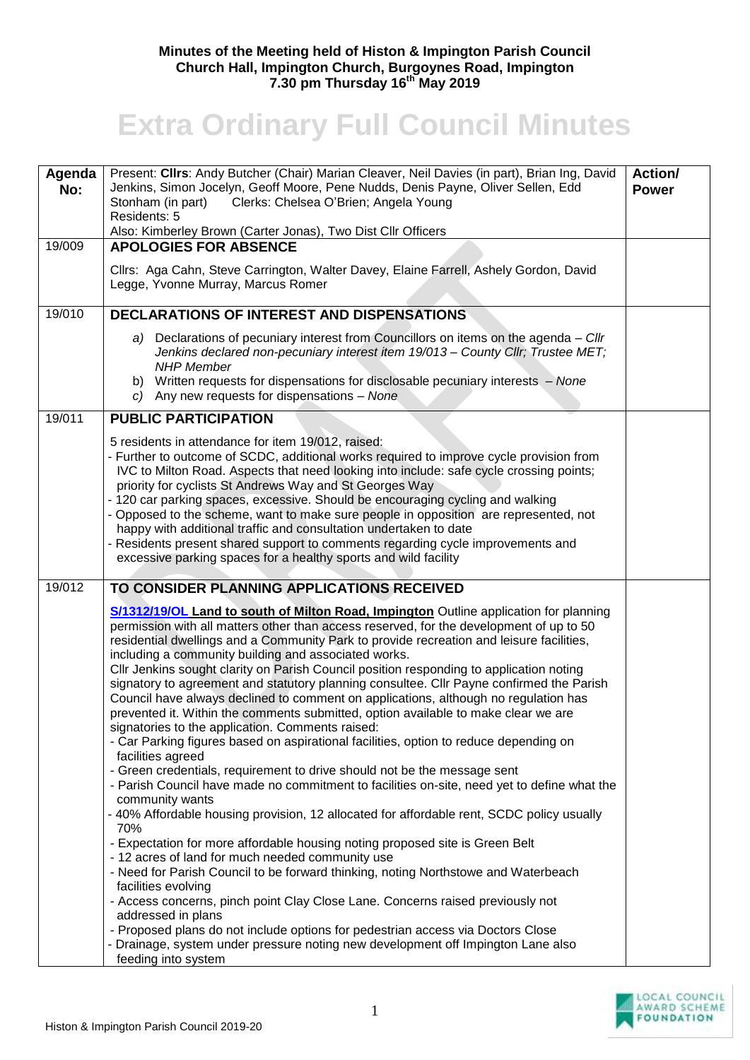## **Minutes of the Meeting held of Histon & Impington Parish Council Church Hall, Impington Church, Burgoynes Road, Impington 7.30 pm Thursday 16th May 2019**

## **Extra Ordinary Full Council Minutes**

| Agenda<br>No: | Present: Cllrs: Andy Butcher (Chair) Marian Cleaver, Neil Davies (in part), Brian Ing, David<br>Jenkins, Simon Jocelyn, Geoff Moore, Pene Nudds, Denis Payne, Oliver Sellen, Edd<br>Clerks: Chelsea O'Brien; Angela Young<br>Stonham (in part)<br>Residents: 5<br>Also: Kimberley Brown (Carter Jonas), Two Dist Cllr Officers                                                                                                                                                                                                                                                                                                                                                                                                                                                                                                                                                                                                                                                                                                                                                                                                                                                                                                                                                                                                                                                                                                                                                                                                                                                                                           | <b>Action/</b><br><b>Power</b> |
|---------------|--------------------------------------------------------------------------------------------------------------------------------------------------------------------------------------------------------------------------------------------------------------------------------------------------------------------------------------------------------------------------------------------------------------------------------------------------------------------------------------------------------------------------------------------------------------------------------------------------------------------------------------------------------------------------------------------------------------------------------------------------------------------------------------------------------------------------------------------------------------------------------------------------------------------------------------------------------------------------------------------------------------------------------------------------------------------------------------------------------------------------------------------------------------------------------------------------------------------------------------------------------------------------------------------------------------------------------------------------------------------------------------------------------------------------------------------------------------------------------------------------------------------------------------------------------------------------------------------------------------------------|--------------------------------|
| 19/009        | <b>APOLOGIES FOR ABSENCE</b>                                                                                                                                                                                                                                                                                                                                                                                                                                                                                                                                                                                                                                                                                                                                                                                                                                                                                                                                                                                                                                                                                                                                                                                                                                                                                                                                                                                                                                                                                                                                                                                             |                                |
|               | Cllrs: Aga Cahn, Steve Carrington, Walter Davey, Elaine Farrell, Ashely Gordon, David<br>Legge, Yvonne Murray, Marcus Romer                                                                                                                                                                                                                                                                                                                                                                                                                                                                                                                                                                                                                                                                                                                                                                                                                                                                                                                                                                                                                                                                                                                                                                                                                                                                                                                                                                                                                                                                                              |                                |
| 19/010        | <b>DECLARATIONS OF INTEREST AND DISPENSATIONS</b>                                                                                                                                                                                                                                                                                                                                                                                                                                                                                                                                                                                                                                                                                                                                                                                                                                                                                                                                                                                                                                                                                                                                                                                                                                                                                                                                                                                                                                                                                                                                                                        |                                |
|               | a) Declarations of pecuniary interest from Councillors on items on the agenda - Cllr<br>Jenkins declared non-pecuniary interest item 19/013 - County Cllr; Trustee MET;<br><b>NHP</b> Member<br>b) Written requests for dispensations for disclosable pecuniary interests - None<br>c) Any new requests for dispensations - None                                                                                                                                                                                                                                                                                                                                                                                                                                                                                                                                                                                                                                                                                                                                                                                                                                                                                                                                                                                                                                                                                                                                                                                                                                                                                         |                                |
| 19/011        | <b>PUBLIC PARTICIPATION</b>                                                                                                                                                                                                                                                                                                                                                                                                                                                                                                                                                                                                                                                                                                                                                                                                                                                                                                                                                                                                                                                                                                                                                                                                                                                                                                                                                                                                                                                                                                                                                                                              |                                |
|               | 5 residents in attendance for item 19/012, raised:<br>- Further to outcome of SCDC, additional works required to improve cycle provision from<br>IVC to Milton Road. Aspects that need looking into include: safe cycle crossing points;<br>priority for cyclists St Andrews Way and St Georges Way<br>- 120 car parking spaces, excessive. Should be encouraging cycling and walking<br>- Opposed to the scheme, want to make sure people in opposition are represented, not<br>happy with additional traffic and consultation undertaken to date<br>- Residents present shared support to comments regarding cycle improvements and<br>excessive parking spaces for a healthy sports and wild facility                                                                                                                                                                                                                                                                                                                                                                                                                                                                                                                                                                                                                                                                                                                                                                                                                                                                                                                 |                                |
| 19/012        | TO CONSIDER PLANNING APPLICATIONS RECEIVED                                                                                                                                                                                                                                                                                                                                                                                                                                                                                                                                                                                                                                                                                                                                                                                                                                                                                                                                                                                                                                                                                                                                                                                                                                                                                                                                                                                                                                                                                                                                                                               |                                |
|               | S/1312/19/OL Land to south of Milton Road, Impington Outline application for planning<br>permission with all matters other than access reserved, for the development of up to 50<br>residential dwellings and a Community Park to provide recreation and leisure facilities,<br>including a community building and associated works.<br>CIIr Jenkins sought clarity on Parish Council position responding to application noting<br>signatory to agreement and statutory planning consultee. Cllr Payne confirmed the Parish<br>Council have always declined to comment on applications, although no regulation has<br>prevented it. Within the comments submitted, option available to make clear we are<br>signatories to the application. Comments raised:<br>- Car Parking figures based on aspirational facilities, option to reduce depending on<br>facilities agreed<br>- Green credentials, requirement to drive should not be the message sent<br>- Parish Council have made no commitment to facilities on-site, need yet to define what the<br>community wants<br>- 40% Affordable housing provision, 12 allocated for affordable rent, SCDC policy usually<br>70%<br>- Expectation for more affordable housing noting proposed site is Green Belt<br>- 12 acres of land for much needed community use<br>- Need for Parish Council to be forward thinking, noting Northstowe and Waterbeach<br>facilities evolving<br>- Access concerns, pinch point Clay Close Lane. Concerns raised previously not<br>addressed in plans<br>- Proposed plans do not include options for pedestrian access via Doctors Close |                                |
|               | - Drainage, system under pressure noting new development off Impington Lane also<br>feeding into system                                                                                                                                                                                                                                                                                                                                                                                                                                                                                                                                                                                                                                                                                                                                                                                                                                                                                                                                                                                                                                                                                                                                                                                                                                                                                                                                                                                                                                                                                                                  |                                |